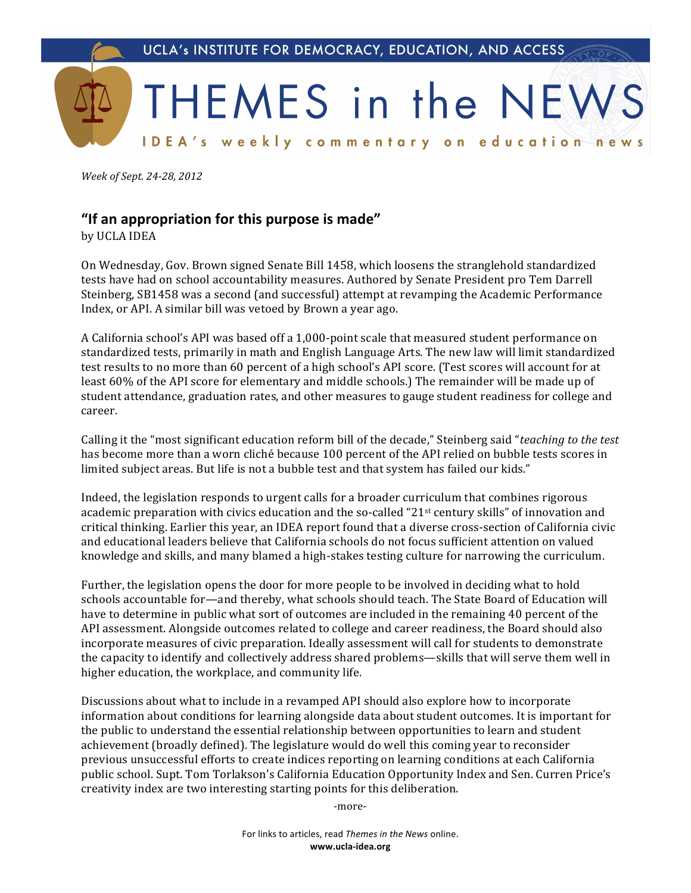

Week of Sept. 24-28, 2012

## "If an appropriation for this purpose is made"

by UCLA IDEA

On Wednesday, Gov. Brown signed Senate Bill 1458, which loosens the stranglehold standardized tests have had on school accountability measures. Authored by Senate President pro Tem Darrell Steinberg, SB1458 was a second (and successful) attempt at revamping the Academic Performance Index, or API. A similar bill was vetoed by Brown a year ago.

A California school's API was based off a 1,000-point scale that measured student performance on standardized tests, primarily in math and English Language Arts. The new law will limit standardized test results to no more than 60 percent of a high school's API score. (Test scores will account for at least 60% of the API score for elementary and middle schools.) The remainder will be made up of student attendance, graduation rates, and other measures to gauge student readiness for college and career.

Calling it the "most significant education reform bill of the decade," Steinberg said "teaching to the test has become more than a worn cliché because 100 percent of the API relied on bubble tests scores in limited subject areas. But life is not a bubble test and that system has failed our kids."

Indeed, the legislation responds to urgent calls for a broader curriculum that combines rigorous academic preparation with civics education and the so-called "21<sup>st</sup> century skills" of innovation and critical thinking. Earlier this year, an IDEA report found that a diverse cross-section of California civic and educational leaders believe that California schools do not focus sufficient attention on valued knowledge and skills, and many blamed a high-stakes testing culture for narrowing the curriculum.

Further, the legislation opens the door for more people to be involved in deciding what to hold schools accountable for—and thereby, what schools should teach. The State Board of Education will have to determine in public what sort of outcomes are included in the remaining 40 percent of the API assessment. Alongside outcomes related to college and career readiness, the Board should also incorporate measures of civic preparation. Ideally assessment will call for students to demonstrate the capacity to identify and collectively address shared problems—skills that will serve them well in higher education, the workplace, and community life.

Discussions about what to include in a revamped API should also explore how to incorporate information about conditions for learning alongside data about student outcomes. It is important for the public to understand the essential relationship between opportunities to learn and student achievement (broadly defined). The legislature would do well this coming year to reconsider previous unsuccessful efforts to create indices reporting on learning conditions at each California public school. Supt. Tom Torlakson's California Education Opportunity Index and Sen. Curren Price's creativity index are two interesting starting points for this deliberation.

-more-